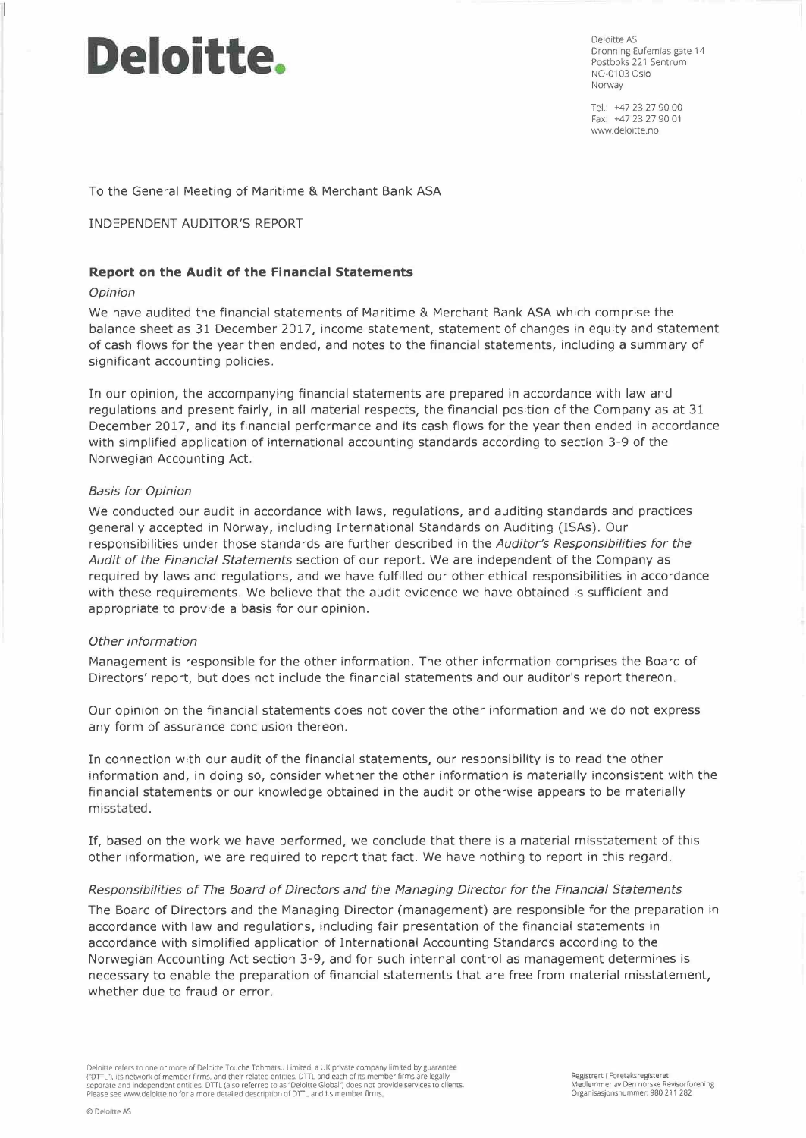# **Deloitte.**

Deloitte AS Dronning Eufemias gate 14 Postboks 221 Sentrum N0-01 03 Oslo Norway

Tel.: +47 23 27 90 00 Fax: +47 23 27 90 01 www.deloitte.no

To the General Meeting of Maritime & Merchant Bank ASA

#### INDEPENDENT AUDITOR'S REPORT

#### **Report on the Audit of the Financial Statements**

#### *Opinion*

We have audited the financial statements of Maritime & Merchant Bank ASA which comprise the balance sheet as 31 December 2017, income statement, statement of changes in equity and statement of cash flows for the year then ended, and notes to the financial statements, including a summary of significant accounting policies.

In our opinion, the accompanying financial statements are prepared in accordance with law and regulations and present fairly, in all material respects, the financial position of the Company as at 31 December 2017, and its financial performance and its cash flows for the year then ended in accordance with simplified application of international accounting standards according to section 3-9 of the Norwegian Accounting Act.

#### *Basis for Opinion*

We conducted our audit in accordance with laws, regulations, and auditing standards and practices generally accepted in Norway, including International Standards on Auditing (ISAs). Our responsibilities under those standards are further described in the *Auditor's Responsibilities for the Audit of the Financial Statements* section of our report. We are independent of the Company as required by laws and regulations, and we have fulfilled our other ethical responsibilities in accordance with these requirements. We believe that the audit evidence we have obtained is sufficient and appropriate to provide a basis for our opinion.

#### *Other information*

Management is responsible for the other information. The other information comprises the Board of Directors' report, but does not include the financial statements and our auditor's report thereon.

Our opinion on the financial statements does not cover the other information and we do not express any form of assurance conclusion thereon.

In connection with our audit of the financial statements, our responsibility is to read the other information and, in doing so, consider whether the other information is materially inconsistent with the financial statements or our knowledge obtained in the audit or otherwise appears to be materially misstated.

If, based on the work we have performed, we conclude that there is a material misstatement of this other information, we are required to report that fact. We have nothing to report in this regard.

# *Responsibilities of The Board of Directors and the Managing Director for the Financial Statements*

The Board of Directors and the Managing Director (management) are responsible for the preparation in accordance with law and regulations, including fair presentation of the financial statements in accordance with simplified application of International Accounting Standards according to the Norwegian Accounting Act section 3-9, and for such internal control as management determines is necessary to enable the preparation of financial statements that are free from material misstatement, whether due to fraud or error.

Deloitte refers to one or more of Deloitte Touche Tohmatsu Limited, a UK private company limited by guarantee ("DTTL"), its network of member firms, and their related entities. DTTL and each of its member firms are legally<br>separate and independent entities. DTTL (also referred to as "Deloitte Global") does not provide services to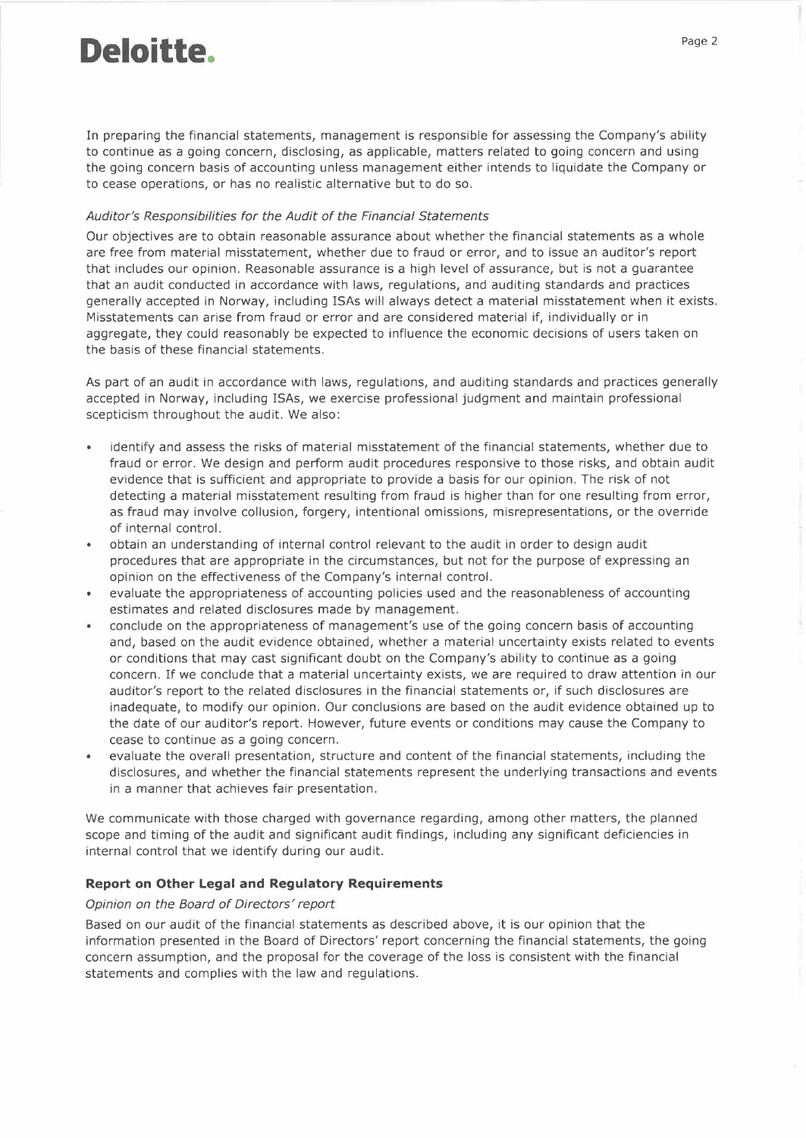# **Deloitte.**

In preparing the financial statements, management is responsible for assessing the Company's ability to continue as a going concern, disclosing, as applicable, matters related to going concern and using the going concern basis of accounting unless management either intends to liquidate the Company or to cease operations, or has no realistic alternative but to do so.

#### *Auditor's Responsibilities for the Audit of the Financial Statements*

Our objectives are to obtain reasonable assurance about whether the financial statements as a whole are free from material misstatement, whether due to fraud or error, and to issue an auditor's report that includes our opinion. Reasonable assurance is a high level of assurance, but is not a guarantee that an audit conducted in accordance with laws, regulations, and auditing standards and practices generally accepted in Norway, including ISAs will always detect a material misstatement when it exists. Misstatements can arise from fraud or error and are considered material if, individually or in aggregate, they could reasonably be expected to influence the economic decisions of users taken on the basis of these financial statements.

As part of an audit in accordance with laws, regulations, and auditing standards and practices generally accepted in Norway, including ISAs, we exercise professional judgment and maintain professional scepticism throughout the audit. We also:

- identify and assess the risks of material misstatement of the financial statements, whether due to fraud or error. We design and perform audit procedures responsive to those risks, and obtain audit evidence that is sufficient and appropriate to provide a basis for our opinion. The risk of not detecting a material misstatement resulting from fraud is higher than for one resulting from error, as fraud may involve collusion, forgery, intentional omissions, misrepresentations, or the override of internal control.
- obtain an understanding of internal control relevant to the audit in order to design audit procedures that are appropriate in the circumstances, but not for the purpose of expressing an opinion on the effectiveness of the Company's internal control.
- evaluate the appropriateness of accounting policies used and the reasonableness of accounting estimates and related disclosures made by management.
- conclude on the appropriateness of management's use of the going concern basis of accounting and, based on the audit evidence obtained, whether a material uncertainty exists related to events or conditions that may cast significant doubt on the Company's ability to continue as a going concern. If we conclude that a material uncertainty exists, we are required to draw attention in our auditor's report to the related disclosures in the financial statements or, if such disclosures are inadequate, to modify our opinion. Our conclusions are based on the audit evidence obtained up to the date of our auditor's report. However, future events or conditions may cause the Company to cease to continue as a going concern.
- evaluate the overall presentation, structure and content of the financial statements, including the disclosures, and whether the financial statements represent the underlying transactions and events in a manner that achieves fair presentation.

We communicate with those charged with governance regarding, among other matters, the planned scope and timing of the audit and significant audit findings, including any significant deficiencies in internal control that we identify during our audit.

# **Report on Other Legal and Regulatory Requirements**

# *Opinion on the Board of Directors' report*

Based on our audit of the financial statements as described above, it is our opinion that the information presented in the Board of Directors' report concerning the financial statements, the going concern assumption, and the proposal for the coverage of the loss is consistent with the financial statements and complies with the law and regulations.